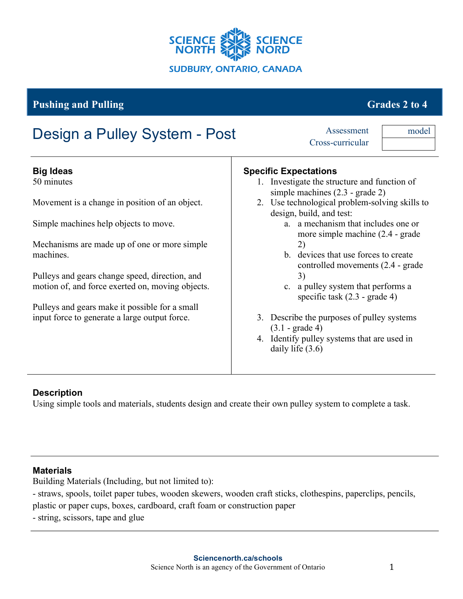

# **Pushing and Pulling Grades 2 to 4**

| Design a Pulley System - Post                                                                      | Assessment<br>model<br>Cross-curricular                                                                                                      |
|----------------------------------------------------------------------------------------------------|----------------------------------------------------------------------------------------------------------------------------------------------|
| <b>Big Ideas</b><br>50 minutes                                                                     | <b>Specific Expectations</b><br>1. Investigate the structure and function of<br>simple machines $(2.3 - \text{grade } 2)$                    |
| Movement is a change in position of an object.                                                     | 2. Use technological problem-solving skills to<br>design, build, and test:                                                                   |
| Simple machines help objects to move.                                                              | a. a mechanism that includes one or<br>more simple machine (2.4 - grade)                                                                     |
| Mechanisms are made up of one or more simple.<br>machines.                                         | 2)<br>b. devices that use forces to create<br>controlled movements (2.4 - grade                                                              |
| Pulleys and gears change speed, direction, and<br>motion of, and force exerted on, moving objects. | 3)<br>c. a pulley system that performs a<br>specific task $(2.3 - \text{grade } 4)$                                                          |
| Pulleys and gears make it possible for a small<br>input force to generate a large output force.    | 3. Describe the purposes of pulley systems<br>$(3.1 - \text{grade } 4)$<br>4. Identify pulley systems that are used in<br>daily life $(3.6)$ |

## **Description**

Using simple tools and materials, students design and create their own pulley system to complete a task.

### **Materials**

Building Materials (Including, but not limited to):

- straws, spools, toilet paper tubes, wooden skewers, wooden craft sticks, clothespins, paperclips, pencils,

plastic or paper cups, boxes, cardboard, craft foam or construction paper

- string, scissors, tape and glue